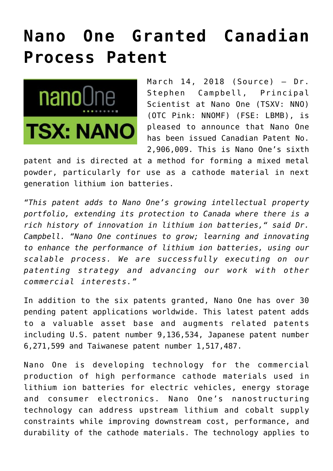## **[Nano One Granted Canadian](https://investorintel.com/markets/technology-metals/technology-metals-news/nano-one-granted-canadian-process-patent/) [Process Patent](https://investorintel.com/markets/technology-metals/technology-metals-news/nano-one-granted-canadian-process-patent/)**



March 14, 2018 ([Source\)](https://www.newsfilecorp.com/release/33498/Nano-One-Granted-Canadian-Process-Patent) — Dr. Stephen Campbell, Principal Scientist at Nano One (TSXV: NNO) (OTC Pink: NNOMF) (FSE: LBMB), is pleased to announce that Nano One has been issued Canadian Patent No. 2,906,009. This is Nano One's sixth

patent and is directed at a method for forming a mixed metal powder, particularly for use as a cathode material in next generation lithium ion batteries.

*"This patent adds to Nano One's growing intellectual property portfolio, extending its protection to Canada where there is a rich history of innovation in lithium ion batteries," said Dr. Campbell. "Nano One continues to grow; learning and innovating to enhance the performance of lithium ion batteries, using our scalable process. We are successfully executing on our patenting strategy and advancing our work with other commercial interests."*

In addition to the six patents granted, Nano One has over 30 pending patent applications worldwide. This latest patent adds to a valuable asset base and augments related patents including U.S. patent number 9,136,534, Japanese patent number 6,271,599 and Taiwanese patent number 1,517,487.

Nano One is developing technology for the commercial production of high performance cathode materials used in lithium ion batteries for electric vehicles, energy storage and consumer electronics. Nano One's nanostructuring technology can address upstream lithium and cobalt supply constraints while improving downstream cost, performance, and durability of the cathode materials. The technology applies to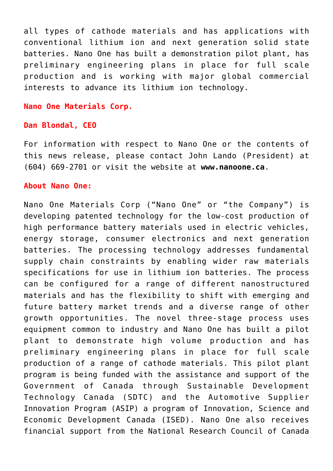all types of cathode materials and has applications with conventional lithium ion and next generation solid state batteries. Nano One has built a demonstration pilot plant, has preliminary engineering plans in place for full scale production and is working with major global commercial interests to advance its lithium ion technology.

## **Nano One Materials Corp.**

## **Dan Blondal, CEO**

For information with respect to Nano One or the contents of this news release, please contact John Lando (President) at (604) 669-2701 or visit the website at **[www.nanoone.ca](http://www.nanoone.ca/)**.

## **About Nano One:**

Nano One Materials Corp ("Nano One" or "the Company") is developing patented technology for the low-cost production of high performance battery materials used in electric vehicles, energy storage, consumer electronics and next generation batteries. The processing technology addresses fundamental supply chain constraints by enabling wider raw materials specifications for use in lithium ion batteries. The process can be configured for a range of different nanostructured materials and has the flexibility to shift with emerging and future battery market trends and a diverse range of other growth opportunities. The novel three-stage process uses equipment common to industry and Nano One has built a pilot plant to demonstrate high volume production and has preliminary engineering plans in place for full scale production of a range of cathode materials. This pilot plant program is being funded with the assistance and support of the Government of Canada through Sustainable Development Technology Canada (SDTC) and the Automotive Supplier Innovation Program (ASIP) a program of Innovation, Science and Economic Development Canada (ISED). Nano One also receives financial support from the National Research Council of Canada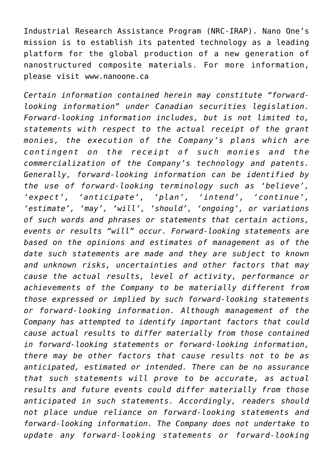Industrial Research Assistance Program (NRC-IRAP). Nano One's mission is to establish its patented technology as a leading platform for the global production of a new generation of nanostructured composite materials. For more information, please visit [www.nanoone.ca](http://www.nanoone.ca/)

*Certain information contained herein may constitute "forwardlooking information" under Canadian securities legislation. Forward-looking information includes, but is not limited to, statements with respect to the actual receipt of the grant monies, the execution of the Company's plans which are contingent on the receipt of such monies and the commercialization of the Company's technology and patents. Generally, forward-looking information can be identified by the use of forward-looking terminology such as 'believe', 'expect', 'anticipate', 'plan', 'intend', 'continue', 'estimate', 'may', 'will', 'should', 'ongoing', or variations of such words and phrases or statements that certain actions, events or results "will" occur. Forward-looking statements are based on the opinions and estimates of management as of the date such statements are made and they are subject to known and unknown risks, uncertainties and other factors that may cause the actual results, level of activity, performance or achievements of the Company to be materially different from those expressed or implied by such forward-looking statements or forward-looking information. Although management of the Company has attempted to identify important factors that could cause actual results to differ materially from those contained in forward-looking statements or forward-looking information, there may be other factors that cause results not to be as anticipated, estimated or intended. There can be no assurance that such statements will prove to be accurate, as actual results and future events could differ materially from those anticipated in such statements. Accordingly, readers should not place undue reliance on forward-looking statements and forward-looking information. The Company does not undertake to update any forward-looking statements or forward-looking*